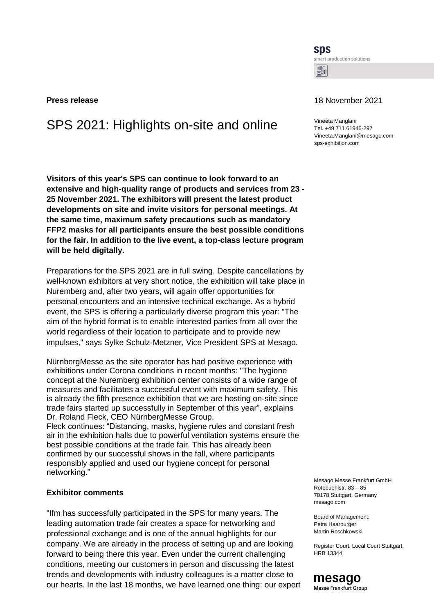**SDS** smart production solutions Lt

# SPS 2021: Highlights on-site and online Vineeta Manglani

**Visitors of this year's SPS can continue to look forward to an extensive and high-quality range of products and services from 23 - 25 November 2021. The exhibitors will present the latest product developments on site and invite visitors for personal meetings. At the same time, maximum safety precautions such as mandatory FFP2 masks for all participants ensure the best possible conditions for the fair. In addition to the live event, a top-class lecture program will be held digitally.**

Preparations for the SPS 2021 are in full swing. Despite cancellations by well-known exhibitors at very short notice, the exhibition will take place in Nuremberg and, after two years, will again offer opportunities for personal encounters and an intensive technical exchange. As a hybrid event, the SPS is offering a particularly diverse program this year: "The aim of the hybrid format is to enable interested parties from all over the world regardless of their location to participate and to provide new impulses," says Sylke Schulz-Metzner, Vice President SPS at Mesago.

NürnbergMesse as the site operator has had positive experience with exhibitions under Corona conditions in recent months: "The hygiene concept at the Nuremberg exhibition center consists of a wide range of measures and facilitates a successful event with maximum safety. This is already the fifth presence exhibition that we are hosting on-site since trade fairs started up successfully in September of this year", explains Dr. Roland Fleck, CEO NürnbergMesse Group.

Fleck continues: "Distancing, masks, hygiene rules and constant fresh air in the exhibition halls due to powerful ventilation systems ensure the best possible conditions at the trade fair. This has already been confirmed by our successful shows in the fall, where participants responsibly applied and used our hygiene concept for personal networking."

## **Exhibitor comments**

"Ifm has successfully participated in the SPS for many years. The leading automation trade fair creates a space for networking and professional exchange and is one of the annual highlights for our company. We are already in the process of setting up and are looking forward to being there this year. Even under the current challenging conditions, meeting our customers in person and discussing the latest trends and developments with industry colleagues is a matter close to our hearts. In the last 18 months, we have learned one thing: our expert

## **Press release** 18 November 2021

Tel. +49 711 61946-297 Vineeta.Manglani@mesago.com [sps-exhibition.com](https://www.mesago.de/en/SPS/The_company/What_drives_us/index.htm)

Mesago Messe Frankfurt GmbH Rotebuehlstr. 83 – 85 70178 Stuttgart, Germany mesago.com

Board of Management: Petra Haarburger Martin Roschkowski

Register Court: Local Court Stuttgart, HRB 13344

#### mesago Messe Frankfurt Group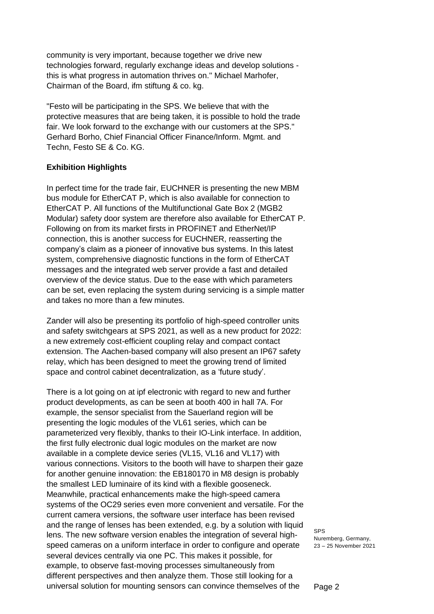community is very important, because together we drive new technologies forward, regularly exchange ideas and develop solutions this is what progress in automation thrives on." Michael Marhofer, Chairman of the Board, ifm stiftung & co. kg.

"Festo will be participating in the SPS. We believe that with the protective measures that are being taken, it is possible to hold the trade fair. We look forward to the exchange with our customers at the SPS." Gerhard Borho, Chief Financial Officer Finance/Inform. Mgmt. and Techn, Festo SE & Co. KG.

# **Exhibition Highlights**

In perfect time for the trade fair, EUCHNER is presenting the new MBM bus module for EtherCAT P, which is also available for connection to EtherCAT P. All functions of the Multifunctional Gate Box 2 (MGB2 Modular) safety door system are therefore also available for EtherCAT P. Following on from its market firsts in PROFINET and EtherNet/IP connection, this is another success for EUCHNER, reasserting the company's claim as a pioneer of innovative bus systems. In this latest system, comprehensive diagnostic functions in the form of EtherCAT messages and the integrated web server provide a fast and detailed overview of the device status. Due to the ease with which parameters can be set, even replacing the system during servicing is a simple matter and takes no more than a few minutes.

Zander will also be presenting its portfolio of high-speed controller units and safety switchgears at SPS 2021, as well as a new product for 2022: a new extremely cost-efficient coupling relay and compact contact extension. The Aachen-based company will also present an IP67 safety relay, which has been designed to meet the growing trend of limited space and control cabinet decentralization, as a 'future study'.

There is a lot going on at ipf electronic with regard to new and further product developments, as can be seen at booth 400 in hall 7A. For example, the sensor specialist from the Sauerland region will be presenting the logic modules of the VL61 series, which can be parameterized very flexibly, thanks to their IO-Link interface. In addition, the first fully electronic dual logic modules on the market are now available in a complete device series (VL15, VL16 and VL17) with various connections. Visitors to the booth will have to sharpen their gaze for another genuine innovation: the EB180170 in M8 design is probably the smallest LED luminaire of its kind with a flexible gooseneck. Meanwhile, practical enhancements make the high-speed camera systems of the OC29 series even more convenient and versatile. For the current camera versions, the software user interface has been revised and the range of lenses has been extended, e.g. by a solution with liquid lens. The new software version enables the integration of several highspeed cameras on a uniform interface in order to configure and operate several devices centrally via one PC. This makes it possible, for example, to observe fast-moving processes simultaneously from different perspectives and then analyze them. Those still looking for a universal solution for mounting sensors can convince themselves of the

SPS Nuremberg, Germany, 23 – 25 November 2021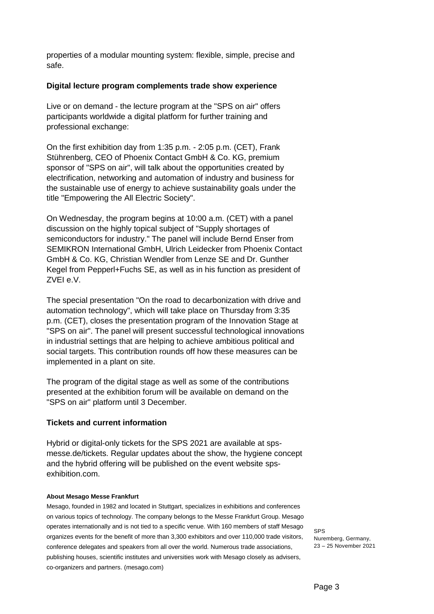properties of a modular mounting system: flexible, simple, precise and safe.

# **Digital lecture program complements trade show experience**

Live or on demand - the lecture program at the "SPS on air" offers participants worldwide a digital platform for further training and professional exchange:

On the first exhibition day from 1:35 p.m. - 2:05 p.m. (CET), Frank Stührenberg, CEO of Phoenix Contact GmbH & Co. KG, premium sponsor of "SPS on air", will talk about the opportunities created by electrification, networking and automation of industry and business for the sustainable use of energy to achieve sustainability goals under the title "Empowering the All Electric Society".

On Wednesday, the program begins at 10:00 a.m. (CET) with a panel discussion on the highly topical subject of "Supply shortages of semiconductors for industry." The panel will include Bernd Enser from SEMIKRON International GmbH, Ulrich Leidecker from Phoenix Contact GmbH & Co. KG, Christian Wendler from Lenze SE and Dr. Gunther Kegel from Pepperl+Fuchs SE, as well as in his function as president of ZVEI e.V.

The special presentation "On the road to decarbonization with drive and automation technology", which will take place on Thursday from 3:35 p.m. (CET), closes the presentation program of the Innovation Stage at "SPS on air". The panel will present successful technological innovations in industrial settings that are helping to achieve ambitious political and social targets. This contribution rounds off how these measures can be implemented in a plant on site.

The program of the digital stage as well as some of the contributions presented at the exhibition forum will be available on demand on the "SPS on air" platform until 3 December.

# **Tickets and current information**

Hybrid or digital-only tickets for the SPS 2021 are available at spsmesse.de/tickets. Regular updates about the show, the hygiene concept and the hybrid offering will be published on the event website [sps](http://www.sps-exhibition.com/)[exhibition.com.](http://www.sps-exhibition.com/)

#### **About Mesago Messe Frankfurt**

Mesago, founded in 1982 and located in Stuttgart, specializes in exhibitions and conferences on various topics of technology. The company belongs to the Messe Frankfurt Group. Mesago operates internationally and is not tied to a specific venue. With 160 members of staff Mesago organizes events for the benefit of more than 3,300 exhibitors and over 110,000 trade visitors, conference delegates and speakers from all over the world. Numerous trade associations, publishing houses, scientific institutes and universities work with Mesago closely as advisers, co-organizers and partners. [\(mesago.com\)](https://www.mesago.de/en/Mesago/home.htm)

SPS Nuremberg, Germany, 23 – 25 November 2021